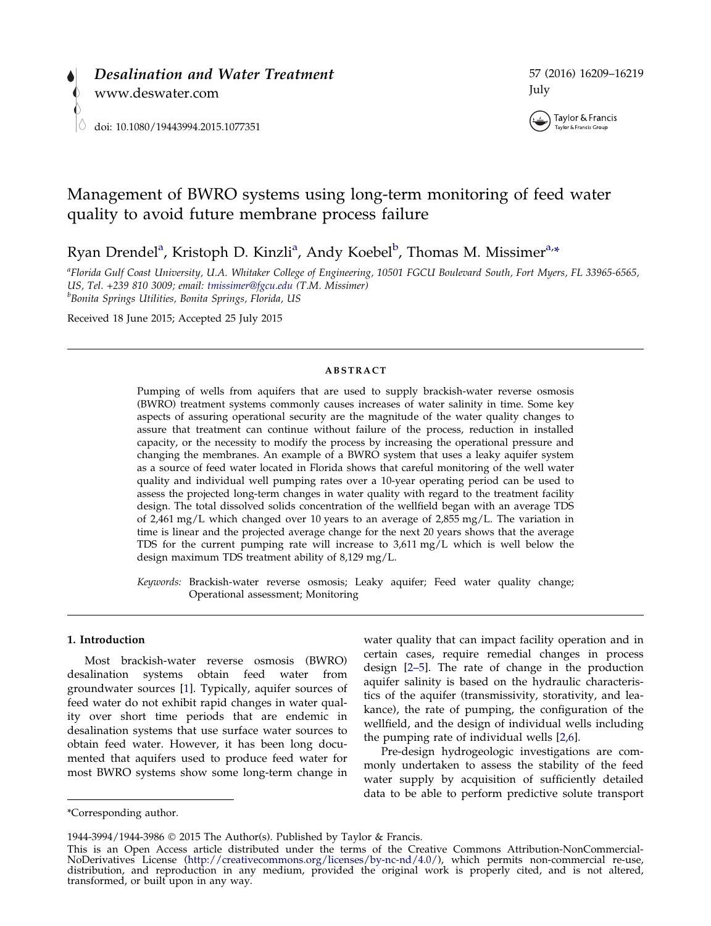



# Management of BWRO systems using long-term monitoring of feed water quality to avoid future membrane process failure

Ryan Drendel<sup>a</sup>, Kristoph D. Kinzli<sup>a</sup>, Andy Koebel<sup>b</sup>, Thomas M. Missimer<sup>a,\*</sup>

<sup>a</sup>Florida Gulf Coast University, U.A. Whitaker College of Engineering, 10501 FGCU Boulevard South, Fort Myers, FL 33965-6565, US, Tel. +239 810 3009; email: [tmissimer@fgcu.edu](mailto:tmissimer@fgcu.edu) (T.M. Missimer) <sup>b</sup> <sup>b</sup>Bonita Springs Utilities, Bonita Springs, Florida, US

Received 18 June 2015; Accepted 25 July 2015

### ABSTRACT

Pumping of wells from aquifers that are used to supply brackish-water reverse osmosis (BWRO) treatment systems commonly causes increases of water salinity in time. Some key aspects of assuring operational security are the magnitude of the water quality changes to assure that treatment can continue without failure of the process, reduction in installed capacity, or the necessity to modify the process by increasing the operational pressure and changing the membranes. An example of a BWRO system that uses a leaky aquifer system as a source of feed water located in Florida shows that careful monitoring of the well water quality and individual well pumping rates over a 10-year operating period can be used to assess the projected long-term changes in water quality with regard to the treatment facility design. The total dissolved solids concentration of the wellfield began with an average TDS of 2,461 mg/L which changed over 10 years to an average of 2,855 mg/L. The variation in time is linear and the projected average change for the next 20 years shows that the average TDS for the current pumping rate will increase to 3,611 mg/L which is well below the design maximum TDS treatment ability of 8,129 mg/L.

Keywords: Brackish-water reverse osmosis; Leaky aquifer; Feed water quality change; Operational assessment; Monitoring

### 1. Introduction

Most brackish-water reverse osmosis (BWRO) desalination systems obtain feed water from groundwater sources [\[1](#page-9-0)]. Typically, aquifer sources of feed water do not exhibit rapid changes in water quality over short time periods that are endemic in desalination systems that use surface water sources to obtain feed water. However, it has been long documented that aquifers used to produce feed water for most BWRO systems show some long-term change in water quality that can impact facility operation and in certain cases, require remedial changes in process design [\[2–5\]](#page-9-0). The rate of change in the production aquifer salinity is based on the hydraulic characteristics of the aquifer (transmissivity, storativity, and leakance), the rate of pumping, the configuration of the wellfield, and the design of individual wells including the pumping rate of individual wells [\[2,6](#page-9-0)].

Pre-design hydrogeologic investigations are commonly undertaken to assess the stability of the feed water supply by acquisition of sufficiently detailed data to be able to perform predictive solute transport

<sup>\*</sup>Corresponding author.

<sup>1944-3994/1944-3986</sup> 2015 The Author(s). Published by Taylor & Francis.

This is an Open Access article distributed under the terms of the Creative Commons Attribution-NonCommercial-<br>NoDerivatives License (http://creativecommons.org/licenses/by-nc-nd/4.0/), which permits non-commercial re-use, NoDerivatives License (<http://creativecommons.org/licenses/by-nc-nd/4.0/>), which permits non-commercial re-use, distribution, and reproduction in any medium, provided the original work is properly cited, and is not altered, transformed, or built upon in any way.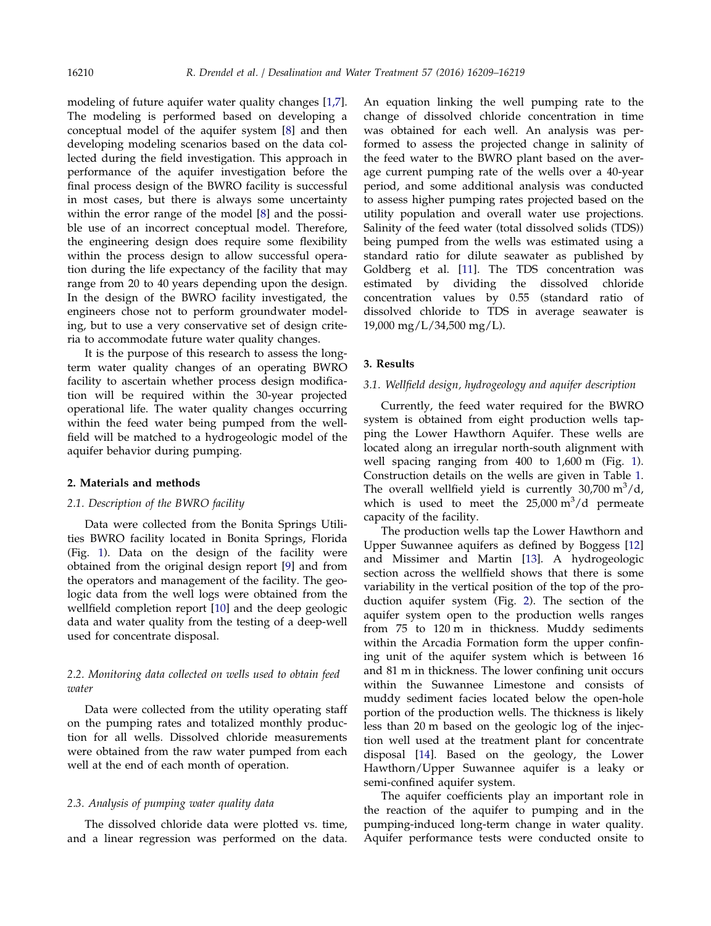modeling of future aquifer water quality changes [\[1,7](#page-9-0)]. The modeling is performed based on developing a conceptual model of the aquifer system [\[8\]](#page-10-0) and then developing modeling scenarios based on the data collected during the field investigation. This approach in performance of the aquifer investigation before the final process design of the BWRO facility is successful in most cases, but there is always some uncertainty within the error range of the model [\[8](#page-10-0)] and the possible use of an incorrect conceptual model. Therefore, the engineering design does require some flexibility within the process design to allow successful operation during the life expectancy of the facility that may range from 20 to 40 years depending upon the design. In the design of the BWRO facility investigated, the engineers chose not to perform groundwater modeling, but to use a very conservative set of design criteria to accommodate future water quality changes.

It is the purpose of this research to assess the longterm water quality changes of an operating BWRO facility to ascertain whether process design modification will be required within the 30-year projected operational life. The water quality changes occurring within the feed water being pumped from the wellfield will be matched to a hydrogeologic model of the aquifer behavior during pumping.

### 2. Materials and methods

### 2.1. Description of the BWRO facility

Data were collected from the Bonita Springs Utilities BWRO facility located in Bonita Springs, Florida (Fig. [1\)](#page-2-0). Data on the design of the facility were obtained from the original design report [[9\]](#page-10-0) and from the operators and management of the facility. The geologic data from the well logs were obtained from the wellfield completion report [\[10\]](#page-10-0) and the deep geologic data and water quality from the testing of a deep-well used for concentrate disposal.

# 2.2. Monitoring data collected on wells used to obtain feed water

Data were collected from the utility operating staff on the pumping rates and totalized monthly production for all wells. Dissolved chloride measurements were obtained from the raw water pumped from each well at the end of each month of operation.

### 2.3. Analysis of pumping water quality data

The dissolved chloride data were plotted vs. time, and a linear regression was performed on the data.

An equation linking the well pumping rate to the change of dissolved chloride concentration in time was obtained for each well. An analysis was performed to assess the projected change in salinity of the feed water to the BWRO plant based on the average current pumping rate of the wells over a 40-year period, and some additional analysis was conducted to assess higher pumping rates projected based on the utility population and overall water use projections. Salinity of the feed water (total dissolved solids (TDS)) being pumped from the wells was estimated using a standard ratio for dilute seawater as published by Goldberg et al. [\[11\]](#page-10-0). The TDS concentration was estimated by dividing the dissolved chloride concentration values by 0.55 (standard ratio of dissolved chloride to TDS in average seawater is 19,000 mg/L/34,500 mg/L).

### 3. Results

#### 3.1. Wellfield design, hydrogeology and aquifer description

Currently, the feed water required for the BWRO system is obtained from eight production wells tapping the Lower Hawthorn Aquifer. These wells are located along an irregular north-south alignment with well spacing ranging from 400 to 1,600 m (Fig. [1](#page-2-0)). Construction details on the wells are given in Table [1](#page-2-0). The overall wellfield yield is currently  $30,700 \text{ m}^3/\text{d}$ , which is used to meet the  $25,000 \text{ m}^3/\text{d}$  permeate capacity of the facility.

The production wells tap the Lower Hawthorn and Upper Suwannee aquifers as defined by Boggess [[12\]](#page-10-0) and Missimer and Martin [[13](#page-10-0)]. A hydrogeologic section across the wellfield shows that there is some variability in the vertical position of the top of the production aquifer system (Fig. [2\)](#page-3-0). The section of the aquifer system open to the production wells ranges from 75 to 120 m in thickness. Muddy sediments within the Arcadia Formation form the upper confining unit of the aquifer system which is between 16 and 81 m in thickness. The lower confining unit occurs within the Suwannee Limestone and consists of muddy sediment facies located below the open-hole portion of the production wells. The thickness is likely less than 20 m based on the geologic log of the injection well used at the treatment plant for concentrate disposal [\[14\]](#page-10-0). Based on the geology, the Lower Hawthorn/Upper Suwannee aquifer is a leaky or semi-confined aquifer system.

The aquifer coefficients play an important role in the reaction of the aquifer to pumping and in the pumping-induced long-term change in water quality. Aquifer performance tests were conducted onsite to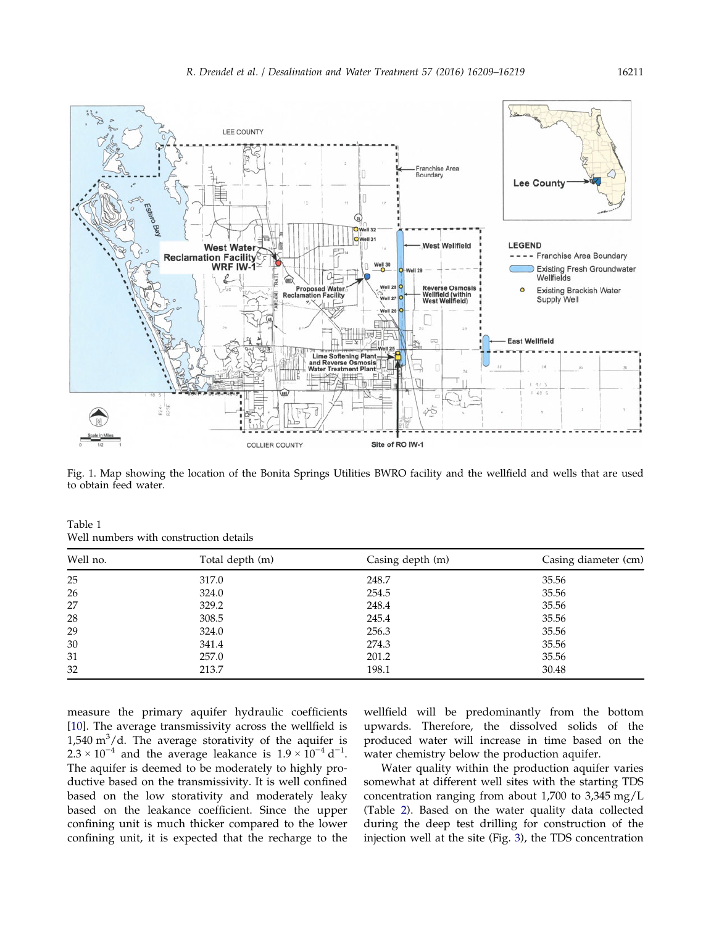<span id="page-2-0"></span>

Fig. 1. Map showing the location of the Bonita Springs Utilities BWRO facility and the wellfield and wells that are used to obtain feed water.

| Table 1                                |  |
|----------------------------------------|--|
| Well numbers with construction details |  |

| Well no. | Total depth (m) | Casing depth (m) | Casing diameter (cm) |  |
|----------|-----------------|------------------|----------------------|--|
| 25       | 317.0           | 248.7            | 35.56                |  |
| 26       | 324.0           | 254.5            | 35.56                |  |
| 27       | 329.2           | 248.4            | 35.56                |  |
| 28       | 308.5           | 245.4            | 35.56                |  |
| 29       | 324.0           | 256.3            | 35.56                |  |
| 30       | 341.4           | 274.3            | 35.56                |  |
| 31       | 257.0           | 201.2            | 35.56                |  |
| 32       | 213.7           | 198.1            | 30.48                |  |

measure the primary aquifer hydraulic coefficients [[10\]](#page-10-0). The average transmissivity across the wellfield is 1,540  $\text{m}^3/\text{d}$ . The average storativity of the aquifer is  $2.3 \times 10^{-4}$  and the average leakance is  $1.9 \times 10^{-4}$  d<sup>-1</sup>. The aquifer is deemed to be moderately to highly productive based on the transmissivity. It is well confined based on the low storativity and moderately leaky based on the leakance coefficient. Since the upper confining unit is much thicker compared to the lower confining unit, it is expected that the recharge to the

wellfield will be predominantly from the bottom upwards. Therefore, the dissolved solids of the produced water will increase in time based on the water chemistry below the production aquifer.

Water quality within the production aquifer varies somewhat at different well sites with the starting TDS concentration ranging from about 1,700 to 3,345 mg/L (Table [2\)](#page-4-0). Based on the water quality data collected during the deep test drilling for construction of the injection well at the site (Fig. [3](#page-4-0)), the TDS concentration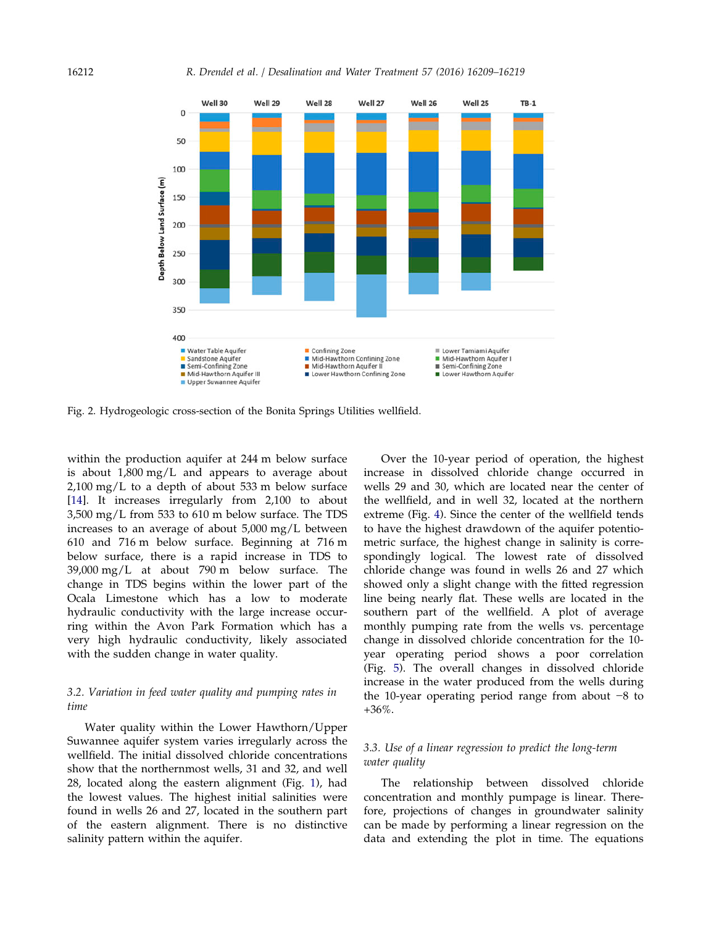<span id="page-3-0"></span>

Fig. 2. Hydrogeologic cross-section of the Bonita Springs Utilities wellfield.

within the production aquifer at 244 m below surface is about 1,800 mg/L and appears to average about 2,100 mg/L to a depth of about 533 m below surface [[14\]](#page-10-0). It increases irregularly from 2,100 to about 3,500 mg/L from 533 to 610 m below surface. The TDS increases to an average of about 5,000 mg/L between 610 and 716 m below surface. Beginning at 716 m below surface, there is a rapid increase in TDS to 39,000 mg/L at about 790 m below surface. The change in TDS begins within the lower part of the Ocala Limestone which has a low to moderate hydraulic conductivity with the large increase occurring within the Avon Park Formation which has a very high hydraulic conductivity, likely associated with the sudden change in water quality.

## 3.2. Variation in feed water quality and pumping rates in time

Water quality within the Lower Hawthorn/Upper Suwannee aquifer system varies irregularly across the wellfield. The initial dissolved chloride concentrations show that the northernmost wells, 31 and 32, and well 28, located along the eastern alignment (Fig. [1\)](#page-2-0), had the lowest values. The highest initial salinities were found in wells 26 and 27, located in the southern part of the eastern alignment. There is no distinctive salinity pattern within the aquifer.

Over the 10-year period of operation, the highest increase in dissolved chloride change occurred in wells 29 and 30, which are located near the center of the wellfield, and in well 32, located at the northern extreme (Fig. [4](#page-5-0)). Since the center of the wellfield tends to have the highest drawdown of the aquifer potentiometric surface, the highest change in salinity is correspondingly logical. The lowest rate of dissolved chloride change was found in wells 26 and 27 which showed only a slight change with the fitted regression line being nearly flat. These wells are located in the southern part of the wellfield. A plot of average monthly pumping rate from the wells vs. percentage change in dissolved chloride concentration for the 10 year operating period shows a poor correlation (Fig. [5](#page-6-0)). The overall changes in dissolved chloride increase in the water produced from the wells during the 10-year operating period range from about −8 to +36%.

# 3.3. Use of a linear regression to predict the long-term water quality

The relationship between dissolved chloride concentration and monthly pumpage is linear. Therefore, projections of changes in groundwater salinity can be made by performing a linear regression on the data and extending the plot in time. The equations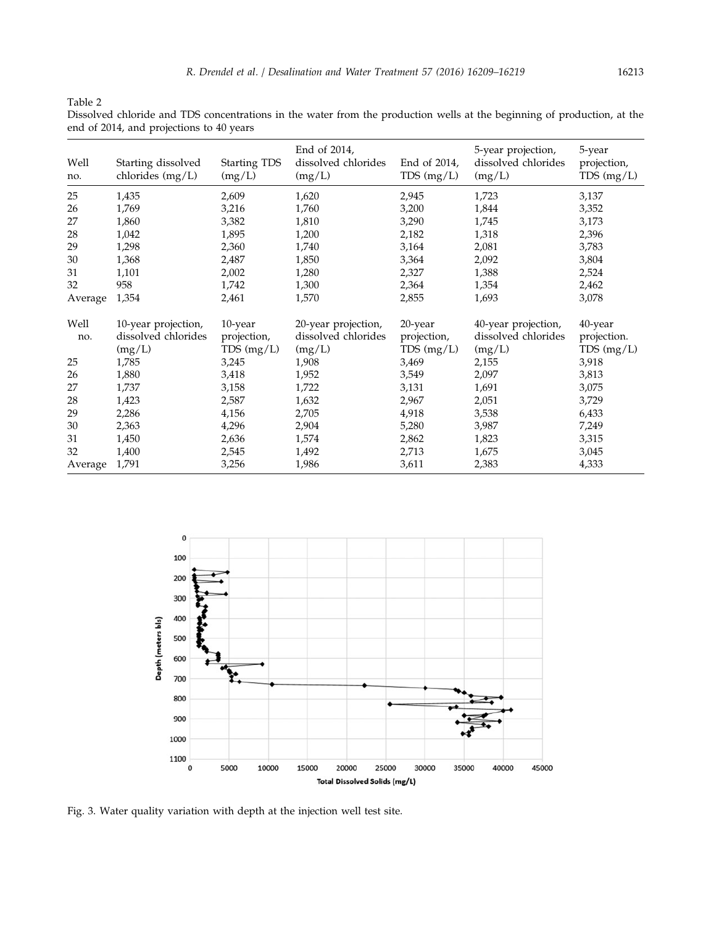<span id="page-4-0"></span>Table 2

Dissolved chloride and TDS concentrations in the water from the production wells at the beginning of production, at the end of 2014, and projections to 40 years

| Well<br>no. | Starting dissolved<br>chlorides $(mg/L)$ | <b>Starting TDS</b><br>(mg/L) | End of 2014,<br>dissolved chlorides<br>(mg/L) | End of 2014,<br>$TDS$ (mg/L) | 5-year projection,<br>dissolved chlorides<br>(mg/L) | 5-year<br>projection,<br>TDS(mg/L) |
|-------------|------------------------------------------|-------------------------------|-----------------------------------------------|------------------------------|-----------------------------------------------------|------------------------------------|
| 25          | 1,435                                    | 2,609                         | 1,620                                         | 2,945                        | 1,723                                               | 3,137                              |
| 26          | 1,769                                    | 3,216                         | 1,760                                         | 3,200                        | 1,844                                               | 3,352                              |
| 27          | 1,860                                    | 3,382                         | 1,810                                         | 3,290                        | 1,745                                               | 3,173                              |
| 28          | 1,042                                    | 1,895                         | 1,200                                         | 2,182                        | 1,318                                               | 2,396                              |
| 29          | 1,298                                    | 2,360                         | 1,740                                         | 3,164                        | 2,081                                               | 3,783                              |
| 30          | 1,368                                    | 2,487                         | 1,850                                         | 3,364                        | 2,092                                               | 3,804                              |
| 31          | 1,101                                    | 2,002                         | 1,280                                         | 2,327                        | 1,388                                               | 2,524                              |
| 32          | 958                                      | 1,742                         | 1,300                                         | 2,364                        | 1,354                                               | 2,462                              |
| Average     | 1,354                                    | 2,461                         | 1,570                                         | 2,855                        | 1,693                                               | 3,078                              |
| Well        | 10-year projection,                      | 10-year                       | 20-year projection,                           | 20-year                      | 40-year projection,                                 | 40-year                            |
| no.         | dissolved chlorides                      | projection,                   | dissolved chlorides                           | projection,                  | dissolved chlorides                                 | projection.                        |
|             | (mg/L)                                   | TDS (mg/L)                    | (mg/L)                                        | TDS (mg/L)                   | (mg/L)                                              | $TDS$ (mg/L)                       |
| 25          | 1,785                                    | 3,245                         | 1,908                                         | 3,469                        | 2,155                                               | 3,918                              |
| 26          | 1,880                                    | 3,418                         | 1,952                                         | 3,549                        | 2,097                                               | 3,813                              |
| 27          | 1,737                                    | 3,158                         | 1,722                                         | 3,131                        | 1,691                                               | 3,075                              |
| 28          | 1,423                                    | 2,587                         | 1,632                                         | 2,967                        | 2,051                                               | 3,729                              |
| 29          | 2,286                                    | 4,156                         | 2,705                                         | 4,918                        | 3,538                                               | 6,433                              |
| 30          | 2,363                                    | 4,296                         | 2,904                                         | 5,280                        | 3,987                                               | 7,249                              |
| 31          | 1,450                                    | 2,636                         | 1,574                                         | 2,862                        | 1,823                                               | 3,315                              |
| 32          | 1,400                                    | 2,545                         | 1,492                                         | 2,713                        | 1,675                                               | 3,045                              |
| Average     | 1,791                                    | 3,256                         | 1,986                                         | 3,611                        | 2,383                                               | 4,333                              |



Fig. 3. Water quality variation with depth at the injection well test site.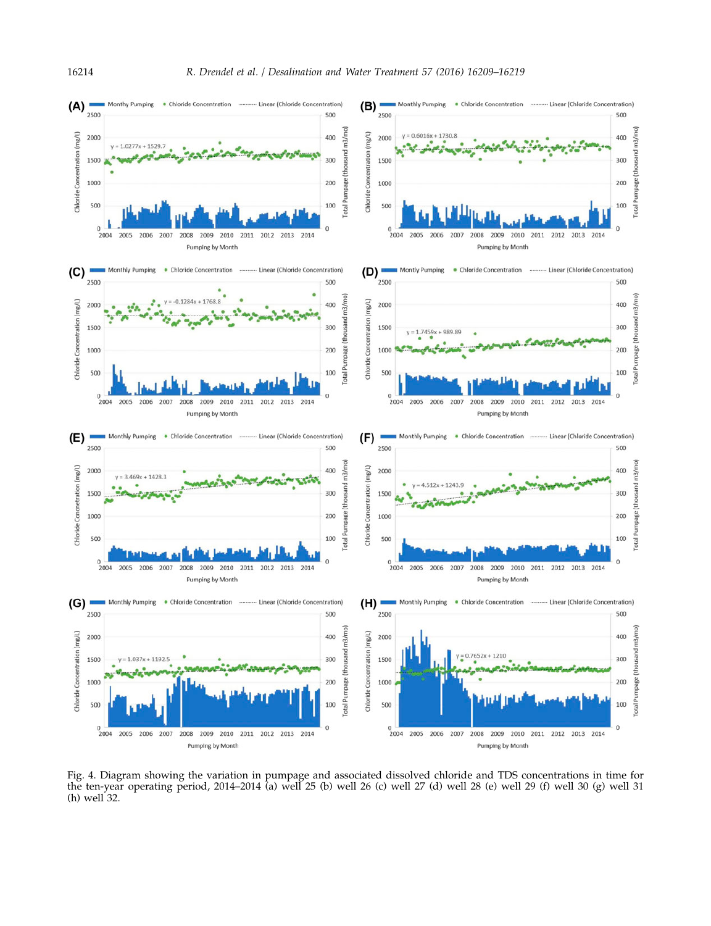<span id="page-5-0"></span>

Fig. 4. Diagram showing the variation in pumpage and associated dissolved chloride and TDS concentrations in time for the ten-year operating period, 2014–2014 (a) well 25 (b) well 26 (c) well 27 (d) well 28 (e) well 29 (f) well 30 (g) well 31 (h) well 32.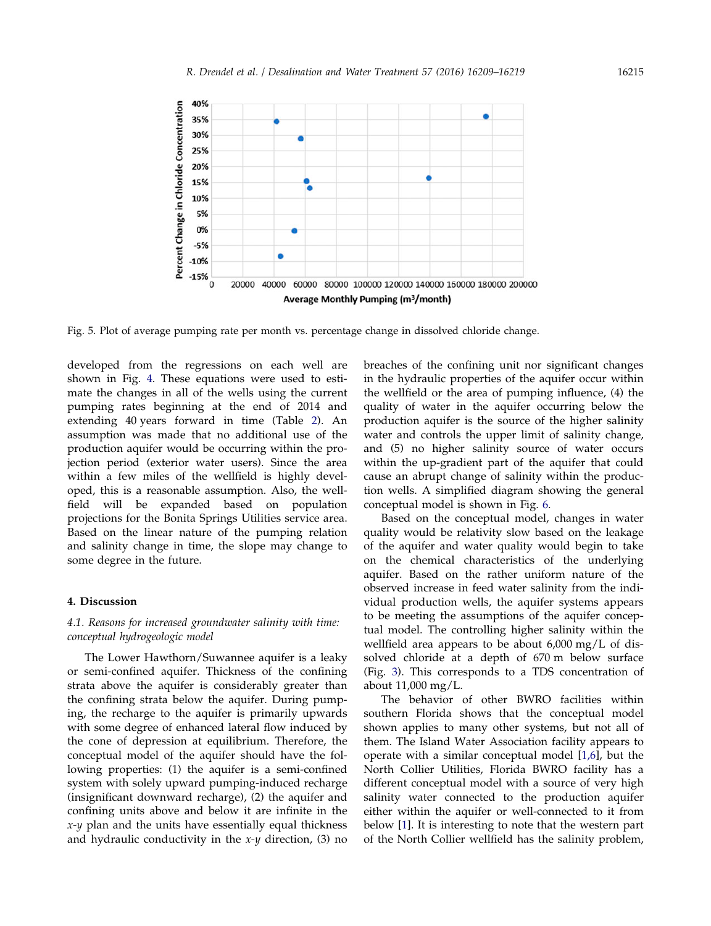<span id="page-6-0"></span>

Fig. 5. Plot of average pumping rate per month vs. percentage change in dissolved chloride change.

developed from the regressions on each well are shown in Fig. [4.](#page-5-0) These equations were used to estimate the changes in all of the wells using the current pumping rates beginning at the end of 2014 and extending 40 years forward in time (Table [2\)](#page-4-0). An assumption was made that no additional use of the production aquifer would be occurring within the projection period (exterior water users). Since the area within a few miles of the wellfield is highly developed, this is a reasonable assumption. Also, the wellfield will be expanded based on population projections for the Bonita Springs Utilities service area. Based on the linear nature of the pumping relation and salinity change in time, the slope may change to some degree in the future.

### 4. Discussion

# 4.1. Reasons for increased groundwater salinity with time: conceptual hydrogeologic model

The Lower Hawthorn/Suwannee aquifer is a leaky or semi-confined aquifer. Thickness of the confining strata above the aquifer is considerably greater than the confining strata below the aquifer. During pumping, the recharge to the aquifer is primarily upwards with some degree of enhanced lateral flow induced by the cone of depression at equilibrium. Therefore, the conceptual model of the aquifer should have the following properties: (1) the aquifer is a semi-confined system with solely upward pumping-induced recharge (insignificant downward recharge), (2) the aquifer and confining units above and below it are infinite in the  $x-y$  plan and the units have essentially equal thickness and hydraulic conductivity in the  $x-y$  direction, (3) no breaches of the confining unit nor significant changes in the hydraulic properties of the aquifer occur within the wellfield or the area of pumping influence, (4) the quality of water in the aquifer occurring below the production aquifer is the source of the higher salinity water and controls the upper limit of salinity change, and (5) no higher salinity source of water occurs within the up-gradient part of the aquifer that could cause an abrupt change of salinity within the production wells. A simplified diagram showing the general conceptual model is shown in Fig. [6.](#page-7-0)

Based on the conceptual model, changes in water quality would be relativity slow based on the leakage of the aquifer and water quality would begin to take on the chemical characteristics of the underlying aquifer. Based on the rather uniform nature of the observed increase in feed water salinity from the individual production wells, the aquifer systems appears to be meeting the assumptions of the aquifer conceptual model. The controlling higher salinity within the wellfield area appears to be about 6,000 mg/L of dissolved chloride at a depth of 670 m below surface (Fig. [3\)](#page-4-0). This corresponds to a TDS concentration of about 11,000 mg/L.

The behavior of other BWRO facilities within southern Florida shows that the conceptual model shown applies to many other systems, but not all of them. The Island Water Association facility appears to operate with a similar conceptual model [[1,6\]](#page-9-0), but the North Collier Utilities, Florida BWRO facility has a different conceptual model with a source of very high salinity water connected to the production aquifer either within the aquifer or well-connected to it from below [\[1](#page-9-0)]. It is interesting to note that the western part of the North Collier wellfield has the salinity problem,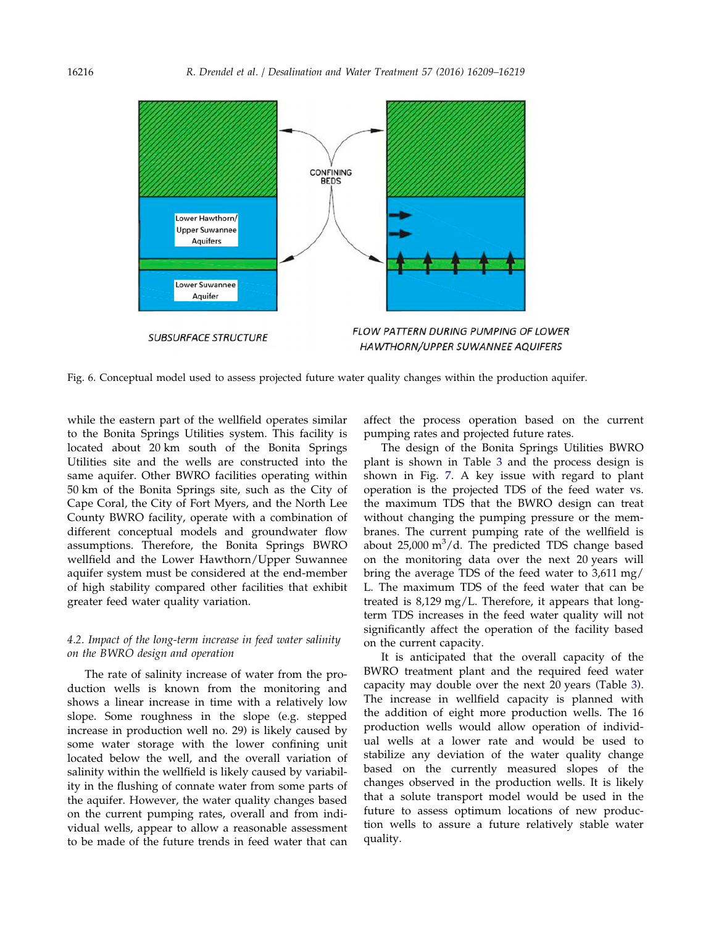<span id="page-7-0"></span>

Fig. 6. Conceptual model used to assess projected future water quality changes within the production aquifer.

while the eastern part of the wellfield operates similar to the Bonita Springs Utilities system. This facility is located about 20 km south of the Bonita Springs Utilities site and the wells are constructed into the same aquifer. Other BWRO facilities operating within 50 km of the Bonita Springs site, such as the City of Cape Coral, the City of Fort Myers, and the North Lee County BWRO facility, operate with a combination of different conceptual models and groundwater flow assumptions. Therefore, the Bonita Springs BWRO wellfield and the Lower Hawthorn/Upper Suwannee aquifer system must be considered at the end-member of high stability compared other facilities that exhibit greater feed water quality variation.

# 4.2. Impact of the long-term increase in feed water salinity on the BWRO design and operation

The rate of salinity increase of water from the production wells is known from the monitoring and shows a linear increase in time with a relatively low slope. Some roughness in the slope (e.g. stepped increase in production well no. 29) is likely caused by some water storage with the lower confining unit located below the well, and the overall variation of salinity within the wellfield is likely caused by variability in the flushing of connate water from some parts of the aquifer. However, the water quality changes based on the current pumping rates, overall and from individual wells, appear to allow a reasonable assessment to be made of the future trends in feed water that can affect the process operation based on the current pumping rates and projected future rates.

The design of the Bonita Springs Utilities BWRO plant is shown in Table [3](#page-8-0) and the process design is shown in Fig. [7.](#page-8-0) A key issue with regard to plant operation is the projected TDS of the feed water vs. the maximum TDS that the BWRO design can treat without changing the pumping pressure or the membranes. The current pumping rate of the wellfield is about  $25,000 \text{ m}^3/\text{d}$ . The predicted TDS change based on the monitoring data over the next 20 years will bring the average TDS of the feed water to 3,611 mg/ L. The maximum TDS of the feed water that can be treated is 8,129 mg/L. Therefore, it appears that longterm TDS increases in the feed water quality will not significantly affect the operation of the facility based on the current capacity.

It is anticipated that the overall capacity of the BWRO treatment plant and the required feed water capacity may double over the next 20 years (Table [3](#page-8-0)). The increase in wellfield capacity is planned with the addition of eight more production wells. The 16 production wells would allow operation of individual wells at a lower rate and would be used to stabilize any deviation of the water quality change based on the currently measured slopes of the changes observed in the production wells. It is likely that a solute transport model would be used in the future to assess optimum locations of new production wells to assure a future relatively stable water quality.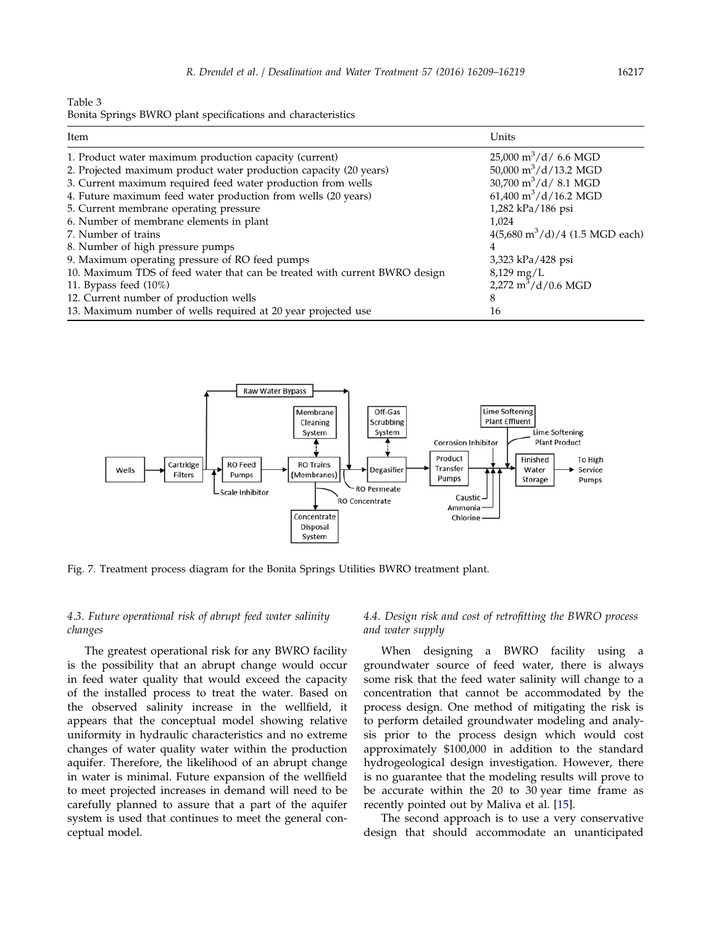<span id="page-8-0"></span>Table 3

Bonita Springs BWRO plant specifications and characteristics

| Item                                                                       | Units                                            |  |
|----------------------------------------------------------------------------|--------------------------------------------------|--|
| 1. Product water maximum production capacity (current)                     | $25,000 \text{ m}^3/\text{d}$ 6.6 MGD            |  |
| 2. Projected maximum product water production capacity (20 years)          | 50,000 $\mathrm{m}^3/\mathrm{d}/13.2$ MGD        |  |
| 3. Current maximum required feed water production from wells               | $30,700 \text{ m}^3/\text{d}$ / 8.1 MGD          |  |
| 4. Future maximum feed water production from wells (20 years)              | $61,400 \text{ m}^3/\text{d}/16.2 \text{ MGD}$   |  |
| 5. Current membrane operating pressure                                     | 1,282 kPa/186 psi                                |  |
| 6. Number of membrane elements in plant                                    | 1,024                                            |  |
| 7. Number of trains                                                        | $4(5,680 \text{ m}^3/\text{d})/4$ (1.5 MGD each) |  |
| 8. Number of high pressure pumps                                           |                                                  |  |
| 9. Maximum operating pressure of RO feed pumps                             | 3,323 kPa/428 psi                                |  |
| 10. Maximum TDS of feed water that can be treated with current BWRO design | $8,129 \,\mathrm{mg/L}$                          |  |
| 11. Bypass feed $(10\%)$                                                   | 2,272 $m^3/d/0.6$ MGD                            |  |
| 12. Current number of production wells                                     |                                                  |  |
| 13. Maximum number of wells required at 20 year projected use              | 16                                               |  |



Fig. 7. Treatment process diagram for the Bonita Springs Utilities BWRO treatment plant.

# 4.3. Future operational risk of abrupt feed water salinity changes

The greatest operational risk for any BWRO facility is the possibility that an abrupt change would occur in feed water quality that would exceed the capacity of the installed process to treat the water. Based on the observed salinity increase in the wellfield, it appears that the conceptual model showing relative uniformity in hydraulic characteristics and no extreme changes of water quality water within the production aquifer. Therefore, the likelihood of an abrupt change in water is minimal. Future expansion of the wellfield to meet projected increases in demand will need to be carefully planned to assure that a part of the aquifer system is used that continues to meet the general conceptual model.

# 4.4. Design risk and cost of retrofitting the BWRO process and water supply

When designing a BWRO facility using a groundwater source of feed water, there is always some risk that the feed water salinity will change to a concentration that cannot be accommodated by the process design. One method of mitigating the risk is to perform detailed groundwater modeling and analysis prior to the process design which would cost approximately \$100,000 in addition to the standard hydrogeological design investigation. However, there is no guarantee that the modeling results will prove to be accurate within the 20 to 30 year time frame as recently pointed out by Maliva et al. [[15\]](#page-10-0).

The second approach is to use a very conservative design that should accommodate an unanticipated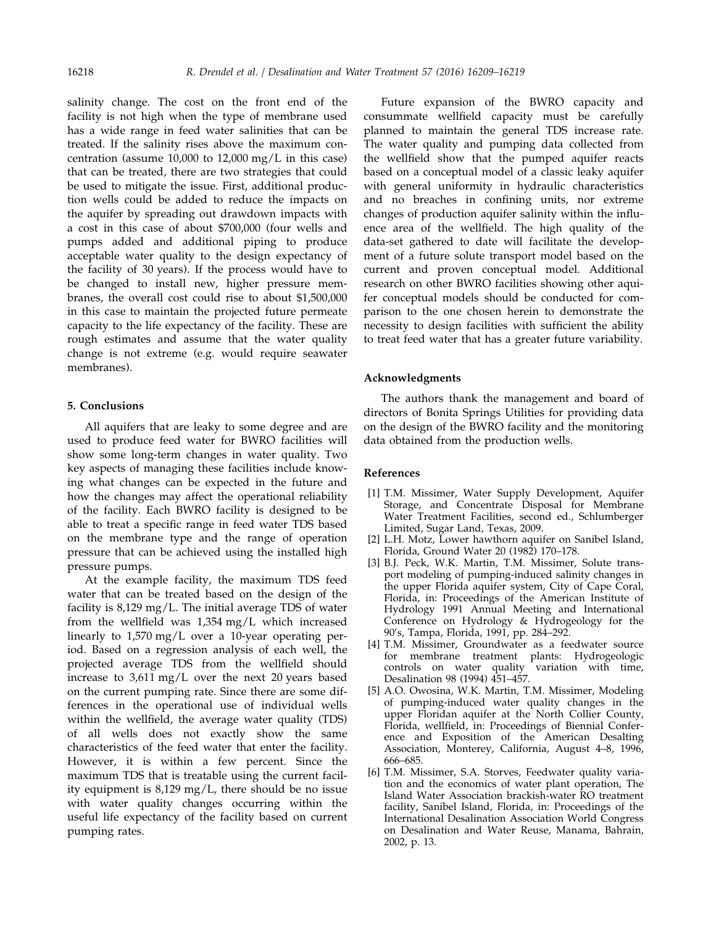<span id="page-9-0"></span>

salinity change. The cost on the front end of the facility is not high when the type of membrane used has a wide range in feed water salinities that can be treated. If the salinity rises above the maximum concentration (assume 10,000 to 12,000 mg/L in this case) that can be treated, there are two strategies that could be used to mitigate the issue. First, additional production wells could be added to reduce the impacts on the aquifer by spreading out drawdown impacts with a cost in this case of about \$700,000 (four wells and pumps added and additional piping to produce acceptable water quality to the design expectancy of the facility of 30 years). If the process would have to be changed to install new, higher pressure membranes, the overall cost could rise to about \$1,500,000 in this case to maintain the projected future permeate capacity to the life expectancy of the facility. These are rough estimates and assume that the water quality change is not extreme (e.g. would require seawater membranes).

### 5. Conclusions

All aquifers that are leaky to some degree and are used to produce feed water for BWRO facilities will show some long-term changes in water quality. Two key aspects of managing these facilities include knowing what changes can be expected in the future and how the changes may affect the operational reliability of the facility. Each BWRO facility is designed to be able to treat a specific range in feed water TDS based on the membrane type and the range of operation pressure that can be achieved using the installed high pressure pumps.

At the example facility, the maximum TDS feed water that can be treated based on the design of the facility is 8,129 mg/L. The initial average TDS of water from the wellfield was 1,354 mg/L which increased linearly to 1,570 mg/L over a 10-year operating period. Based on a regression analysis of each well, the projected average TDS from the wellfield should increase to  $3.611 \text{ mg/L}$  over the next 20 years based on the current pumping rate. Since there are some differences in the operational use of individual wells within the wellfield, the average water quality (TDS) of all wells does not exactly show the same characteristics of the feed water that enter the facility. However, it is within a few percent. Since the maximum TDS that is treatable using the current facility equipment is 8,129 mg/L, there should be no issue with water quality changes occurring within the useful life expectancy of the facility based on current pumping rates.

Future expansion of the BWRO capacity and consummate wellfield capacity must be carefully planned to maintain the general TDS increase rate. The water quality and pumping data collected from the wellfield show that the pumped aquifer reacts based on a conceptual model of a classic leaky aquifer with general uniformity in hydraulic characteristics and no breaches in confining units, nor extreme changes of production aquifer salinity within the influence area of the wellfield. The high quality of the data-set gathered to date will facilitate the development of a future solute transport model based on the current and proven conceptual model. Additional research on other BWRO facilities showing other aquifer conceptual models should be conducted for comparison to the one chosen herein to demonstrate the necessity to design facilities with sufficient the ability to treat feed water that has a greater future variability.

#### Acknowledgments

The authors thank the management and board of directors of Bonita Springs Utilities for providing data on the design of the BWRO facility and the monitoring data obtained from the production wells.

### References

- [1] T.M. Missimer, Water Supply Development, Aquifer Storage, and Concentrate Disposal for Membrane Water Treatment Facilities, second ed., Schlumberger Limited, Sugar Land, Texas, 2009.
- [2] L.H. Motz, Lower hawthorn aquifer on Sanibel Island, Florida, Ground Water 20 (1982) 170–178.
- [3] B.J. Peck, W.K. Martin, T.M. Missimer, Solute transport modeling of pumping-induced salinity changes in the upper Florida aquifer system, City of Cape Coral, Florida, in: Proceedings of the American Institute of Hydrology 1991 Annual Meeting and International Conference on Hydrology & Hydrogeology for the 90's, Tampa, Florida, 1991, pp. 284–292.
- [4] T.M. Missimer, Groundwater as a feedwater source for membrane treatment plants: Hydrogeologic controls on water quality variation with time, Desalination 98 (1994) 451–457.
- [5] A.O. Owosina, W.K. Martin, T.M. Missimer, Modeling of pumping-induced water quality changes in the upper Floridan aquifer at the North Collier County, Florida, wellfield, in: Proceedings of Biennial Conference and Exposition of the American Desalting Association, Monterey, California, August 4–8, 1996, 666–685.
- [6] T.M. Missimer, S.A. Storves, Feedwater quality variation and the economics of water plant operation, The Island Water Association brackish-water RO treatment facility, Sanibel Island, Florida, in: Proceedings of the International Desalination Association World Congress on Desalination and Water Reuse, Manama, Bahrain, 2002, p. 13.